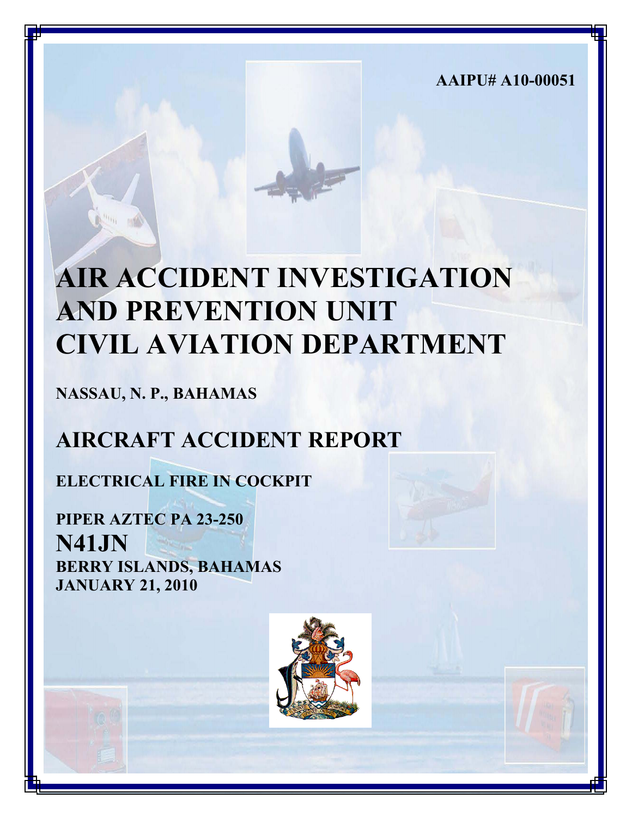**AAIPU# A10-00051**

# **AIR ACCIDENT INVESTIGATION AND PREVENTION UNIT CIVIL AVIATION DEPARTMENT**

**NASSAU, N. P., BAHAMAS**

# **AIRCRAFT ACCIDENT REPORT**

**ELECTRICAL FIRE IN COCKPIT**

**PIPER AZTEC PA 23-250 N41JN BERRY ISLANDS, BAHAMAS JANUARY 21, 2010**

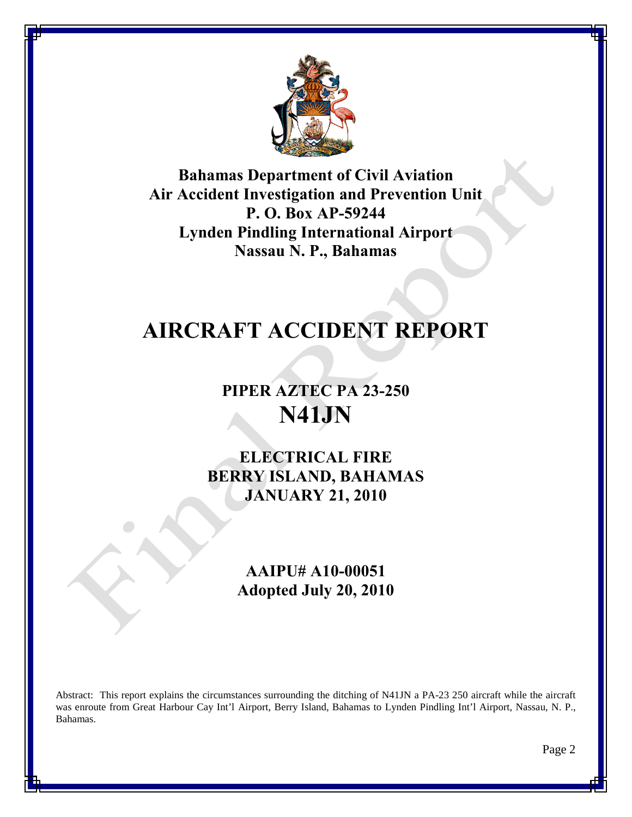

**Bahamas Department of Civil Aviation Air Accident Investigation and Prevention Unit P. O. Box AP-59244 Lynden Pindling International Airport Nassau N. P., Bahamas**

# **AIRCRAFT ACCIDENT REPORT**

# **PIPER AZTEC PA 23-250 N41JN**

**ELECTRICAL FIRE BERRY ISLAND, BAHAMAS JANUARY 21, 2010**

> **AAIPU# A10-00051 Adopted July 20, 2010**

Abstract: This report explains the circumstances surrounding the ditching of N41JN a PA-23 250 aircraft while the aircraft was enroute from Great Harbour Cay Int'l Airport, Berry Island, Bahamas to Lynden Pindling Int'l Airport, Nassau, N. P., Bahamas.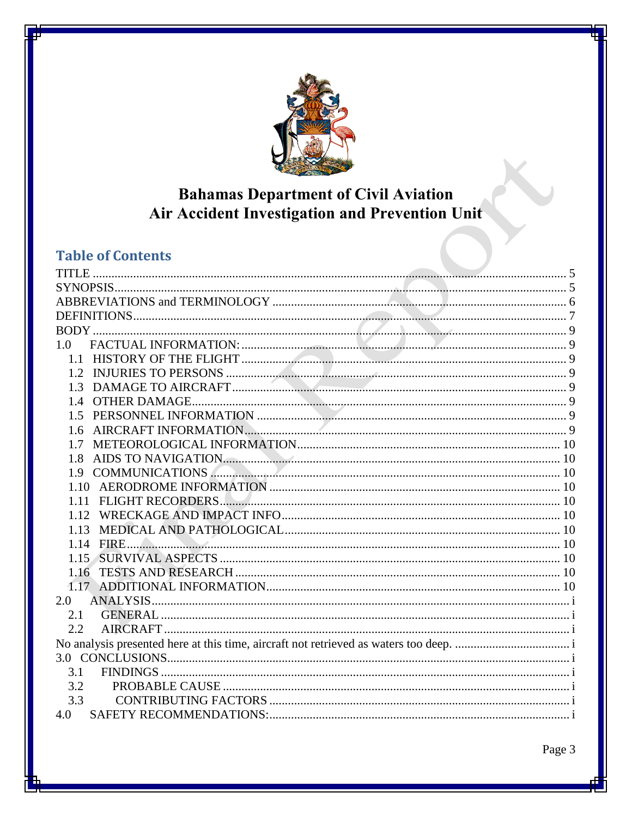

# **Bahamas Department of Civil Aviation<br>Air Accident Investigation and Prevention Unit**

# **Table of Contents**

| 1.0           |  |
|---------------|--|
|               |  |
|               |  |
|               |  |
|               |  |
|               |  |
|               |  |
| 17            |  |
|               |  |
|               |  |
|               |  |
|               |  |
|               |  |
|               |  |
|               |  |
|               |  |
|               |  |
|               |  |
|               |  |
| 2.1           |  |
| $2.2^{\circ}$ |  |
|               |  |
|               |  |
| 3.1           |  |
| 3.2           |  |
| 3.3           |  |
| 4.0           |  |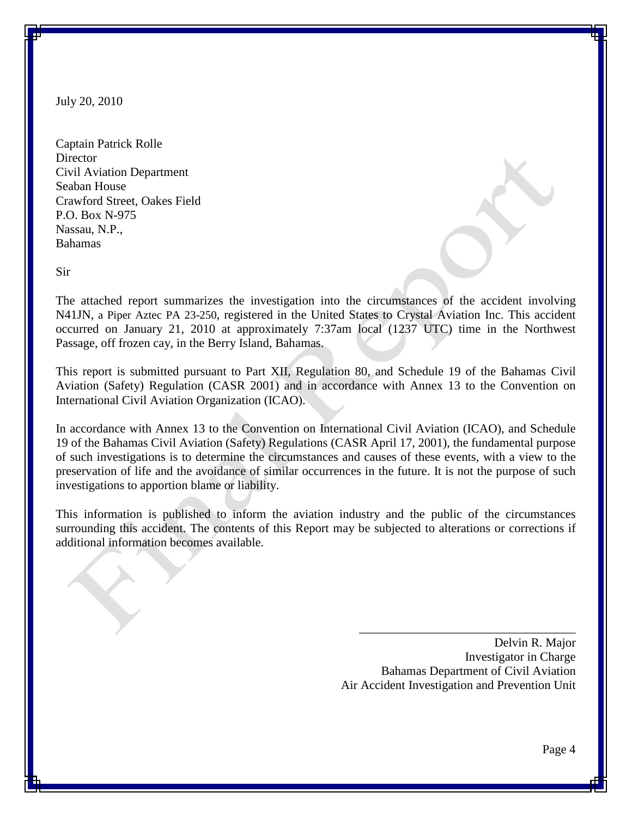July 20, 2010

Captain Patrick Rolle **Director** Civil Aviation Department Seaban House Crawford Street, Oakes Field P.O. Box N-975 Nassau, N.P., Bahamas

Sir

The attached report summarizes the investigation into the circumstances of the accident involving N41JN, a Piper Aztec PA 23-250, registered in the United States to Crystal Aviation Inc. This accident occurred on January 21, 2010 at approximately 7:37am local (1237 UTC) time in the Northwest Passage, off frozen cay, in the Berry Island, Bahamas.

This report is submitted pursuant to Part XII, Regulation 80, and Schedule 19 of the Bahamas Civil Aviation (Safety) Regulation (CASR 2001) and in accordance with Annex 13 to the Convention on International Civil Aviation Organization (ICAO).

In accordance with Annex 13 to the Convention on International Civil Aviation (ICAO), and Schedule 19 of the Bahamas Civil Aviation (Safety) Regulations (CASR April 17, 2001), the fundamental purpose of such investigations is to determine the circumstances and causes of these events, with a view to the preservation of life and the avoidance of similar occurrences in the future. It is not the purpose of such investigations to apportion blame or liability.

This information is published to inform the aviation industry and the public of the circumstances surrounding this accident. The contents of this Report may be subjected to alterations or corrections if additional information becomes available.

> Delvin R. Major Investigator in Charge Bahamas Department of Civil Aviation Air Accident Investigation and Prevention Unit

\_\_\_\_\_\_\_\_\_\_\_\_\_\_\_\_\_\_\_\_\_\_\_\_\_\_\_\_\_\_\_\_\_\_\_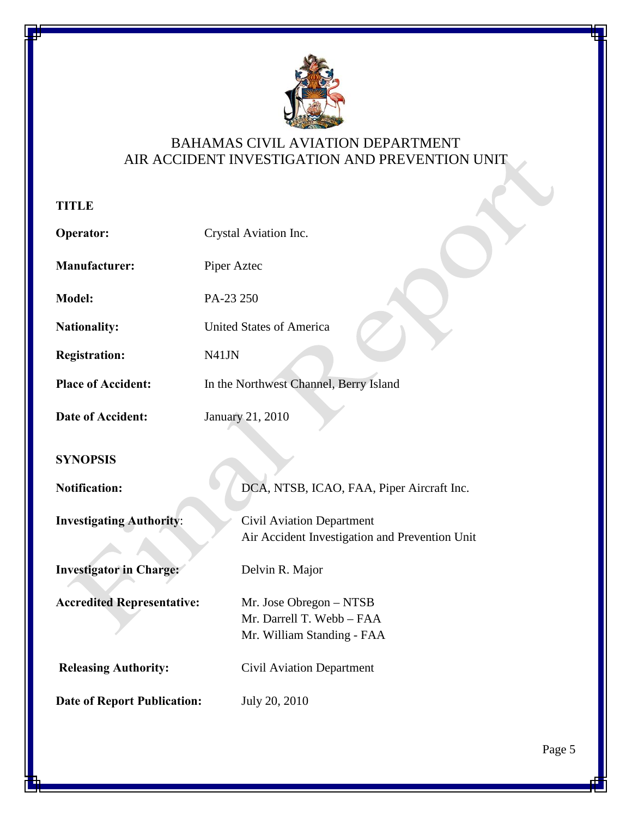

## BAHAMAS CIVIL AVIATION DEPARTMENT AIR ACCIDENT INVESTIGATION AND PREVENTION UNIT

<span id="page-4-1"></span><span id="page-4-0"></span>

| <b>TITLE</b>                       |                                                                                    |
|------------------------------------|------------------------------------------------------------------------------------|
| <b>Operator:</b>                   | Crystal Aviation Inc.                                                              |
| <b>Manufacturer:</b>               | Piper Aztec                                                                        |
| <b>Model:</b>                      | PA-23 250                                                                          |
| <b>Nationality:</b>                | <b>United States of America</b>                                                    |
| <b>Registration:</b>               | N41JN                                                                              |
| <b>Place of Accident:</b>          | In the Northwest Channel, Berry Island                                             |
| <b>Date of Accident:</b>           | January 21, 2010                                                                   |
| <b>SYNOPSIS</b>                    |                                                                                    |
| <b>Notification:</b>               | DCA, NTSB, ICAO, FAA, Piper Aircraft Inc.                                          |
| <b>Investigating Authority:</b>    | Civil Aviation Department<br>Air Accident Investigation and Prevention Unit        |
| <b>Investigator in Charge:</b>     | Delvin R. Major                                                                    |
| <b>Accredited Representative:</b>  | Mr. Jose Obregon – NTSB<br>Mr. Darrell T. Webb - FAA<br>Mr. William Standing - FAA |
| <b>Releasing Authority:</b>        | <b>Civil Aviation Department</b>                                                   |
| <b>Date of Report Publication:</b> | July 20, 2010                                                                      |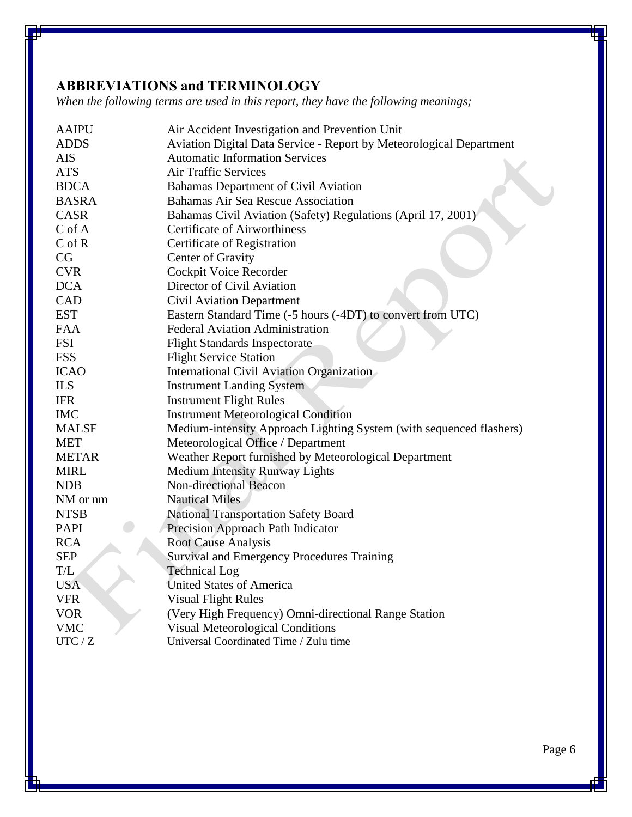## <span id="page-5-0"></span>**ABBREVIATIONS and TERMINOLOGY**

*When the following terms are used in this report, they have the following meanings;*

| <b>AAIPU</b> | Air Accident Investigation and Prevention Unit                      |
|--------------|---------------------------------------------------------------------|
| <b>ADDS</b>  | Aviation Digital Data Service - Report by Meteorological Department |
| <b>AIS</b>   | <b>Automatic Information Services</b>                               |
| <b>ATS</b>   | <b>Air Traffic Services</b>                                         |
| <b>BDCA</b>  | Bahamas Department of Civil Aviation                                |
| <b>BASRA</b> | Bahamas Air Sea Rescue Association                                  |
| <b>CASR</b>  | Bahamas Civil Aviation (Safety) Regulations (April 17, 2001)        |
| $C$ of $A$   | <b>Certificate of Airworthiness</b>                                 |
| $C$ of $R$   | Certificate of Registration                                         |
| CG           | Center of Gravity                                                   |
| <b>CVR</b>   | Cockpit Voice Recorder                                              |
| <b>DCA</b>   | Director of Civil Aviation                                          |
| CAD          | <b>Civil Aviation Department</b>                                    |
| <b>EST</b>   | Eastern Standard Time (-5 hours (-4DT) to convert from UTC)         |
| <b>FAA</b>   | <b>Federal Aviation Administration</b>                              |
| <b>FSI</b>   | <b>Flight Standards Inspectorate</b>                                |
| <b>FSS</b>   | <b>Flight Service Station</b>                                       |
| <b>ICAO</b>  | International Civil Aviation Organization                           |
| <b>ILS</b>   | <b>Instrument Landing System</b>                                    |
| <b>IFR</b>   | <b>Instrument Flight Rules</b>                                      |
| <b>IMC</b>   | <b>Instrument Meteorological Condition</b>                          |
| <b>MALSF</b> | Medium-intensity Approach Lighting System (with sequenced flashers) |
| <b>MET</b>   | Meteorological Office / Department                                  |
| <b>METAR</b> | Weather Report furnished by Meteorological Department               |
| <b>MIRL</b>  | <b>Medium Intensity Runway Lights</b>                               |
| <b>NDB</b>   | Non-directional Beacon                                              |
| NM or nm     | <b>Nautical Miles</b>                                               |
| <b>NTSB</b>  | <b>National Transportation Safety Board</b>                         |
| <b>PAPI</b>  | Precision Approach Path Indicator                                   |
| <b>RCA</b>   | <b>Root Cause Analysis</b>                                          |
| <b>SEP</b>   | <b>Survival and Emergency Procedures Training</b>                   |
| T/L          | <b>Technical Log</b>                                                |
| <b>USA</b>   | United States of America                                            |
| <b>VFR</b>   | <b>Visual Flight Rules</b>                                          |
| <b>VOR</b>   | (Very High Frequency) Omni-directional Range Station                |
| <b>VMC</b>   | <b>Visual Meteorological Conditions</b>                             |
| UTC / Z      | Universal Coordinated Time / Zulu time                              |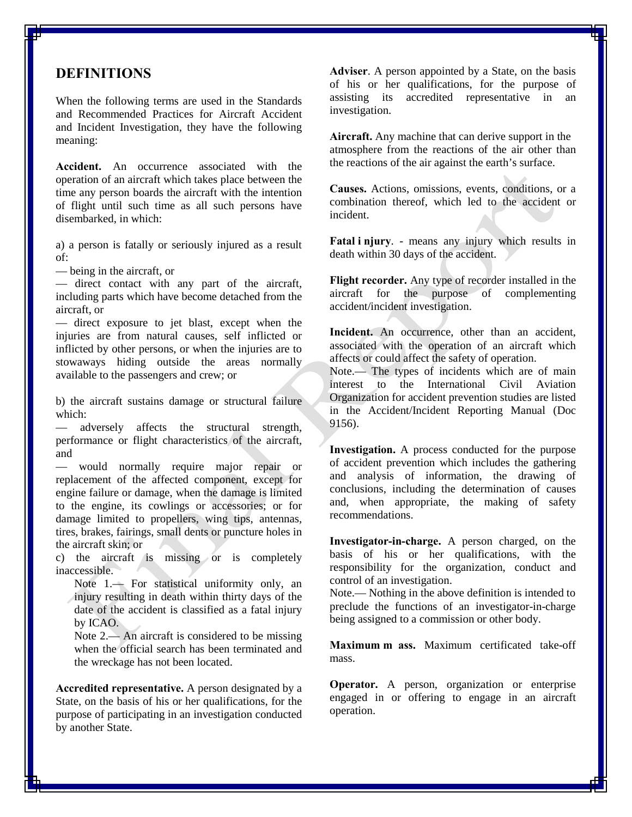#### <span id="page-6-0"></span>**DEFINITIONS**

When the following terms are used in the Standards and Recommended Practices for Aircraft Accident and Incident Investigation, they have the following meaning:

**Accident.** An occurrence associated with the operation of an aircraft which takes place between the time any person boards the aircraft with the intention of flight until such time as all such persons have disembarked, in which:

a) a person is fatally or seriously injured as a result of:

— being in the aircraft, or

— direct contact with any part of the aircraft, including parts which have become detached from the aircraft, or

— direct exposure to jet blast, except when the injuries are from natural causes, self inflicted or inflicted by other persons, or when the injuries are to stowaways hiding outside the areas normally available to the passengers and crew; or

b) the aircraft sustains damage or structural failure which:

— adversely affects the structural strength, performance or flight characteristics of the aircraft, and

— would normally require major repair or replacement of the affected component, except for engine failure or damage, when the damage is limited to the engine, its cowlings or accessories; or for damage limited to propellers, wing tips, antennas, tires, brakes, fairings, small dents or puncture holes in the aircraft skin; or

c) the aircraft is missing or is completely inaccessible.

Note 1.— For statistical uniformity only, an injury resulting in death within thirty days of the date of the accident is classified as a fatal injury by ICAO.

Note 2.— An aircraft is considered to be missing when the official search has been terminated and the wreckage has not been located.

**Accredited representative.** A person designated by a State, on the basis of his or her qualifications, for the purpose of participating in an investigation conducted by another State.

**Adviser**. A person appointed by a State, on the basis of his or her qualifications, for the purpose of assisting its accredited representative in an investigation.

**Aircraft.** Any machine that can derive support in the atmosphere from the reactions of the air other than the reactions of the air against the earth's surface.

**Causes.** Actions, omissions, events, conditions, or a combination thereof, which led to the accident or incident.

**Fatal i njury**. - means any injury which results in death within 30 days of the accident.

**Flight recorder.** Any type of recorder installed in the aircraft for the purpose of complementing accident/incident investigation.

Incident. An occurrence, other than an accident, associated with the operation of an aircraft which affects or could affect the safety of operation.

Note.— The types of incidents which are of main interest to the International Civil Aviation Organization for accident prevention studies are listed in the Accident/Incident Reporting Manual (Doc 9156).

**Investigation.** A process conducted for the purpose of accident prevention which includes the gathering and analysis of information, the drawing of conclusions, including the determination of causes and, when appropriate, the making of safety recommendations.

**Investigator-in-charge.** A person charged, on the basis of his or her qualifications, with the responsibility for the organization, conduct and control of an investigation.

Note.— Nothing in the above definition is intended to preclude the functions of an investigator-in-charge being assigned to a commission or other body.

**Maximum m ass.** Maximum certificated take-off mass.

**Operator.** A person, organization or enterprise engaged in or offering to engage in an aircraft operation.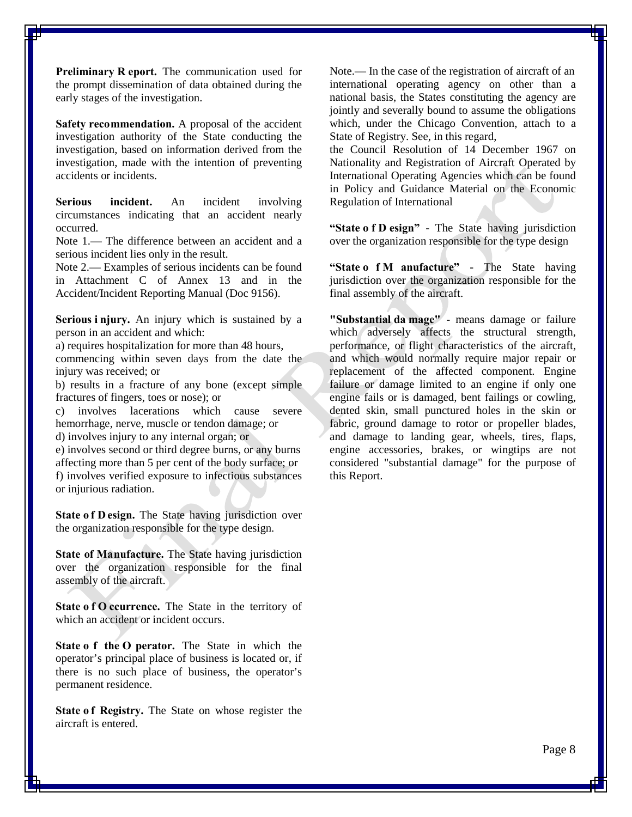**Preliminary R eport.** The communication used for the prompt dissemination of data obtained during the early stages of the investigation.

**Safety recommendation.** A proposal of the accident investigation authority of the State conducting the investigation, based on information derived from the investigation, made with the intention of preventing accidents or incidents.

**Serious incident.** An incident involving circumstances indicating that an accident nearly occurred.

Note 1.— The difference between an accident and a serious incident lies only in the result.

Note 2.— Examples of serious incidents can be found in Attachment C of Annex 13 and in the Accident/Incident Reporting Manual (Doc 9156).

**Serious i njury.** An injury which is sustained by a person in an accident and which:

a) requires hospitalization for more than 48 hours,

commencing within seven days from the date the injury was received; or

b) results in a fracture of any bone (except simple fractures of fingers, toes or nose); or

c) involves lacerations which cause severe hemorrhage, nerve, muscle or tendon damage; or d) involves injury to any internal organ; or

e) involves second or third degree burns, or any burns affecting more than 5 per cent of the body surface; or f) involves verified exposure to infectious substances or injurious radiation.

**State of D esign.** The State having jurisdiction over the organization responsible for the type design.

**State of Manufacture.** The State having jurisdiction over the organization responsible for the final assembly of the aircraft.

**State of O ccurrence.** The State in the territory of which an accident or incident occurs.

**State o f the O perator.** The State in which the operator's principal place of business is located or, if there is no such place of business, the operator's permanent residence.

**State of Registry.** The State on whose register the aircraft is entered.

Note.— In the case of the registration of aircraft of an international operating agency on other than a national basis, the States constituting the agency are jointly and severally bound to assume the obligations which, under the Chicago Convention, attach to a State of Registry. See, in this regard,

the Council Resolution of 14 December 1967 on Nationality and Registration of Aircraft Operated by International Operating Agencies which can be found in Policy and Guidance Material on the Economic Regulation of International

**"State o f D esign"** - The State having jurisdiction over the organization responsible for the type design

**"State o f M anufacture"** - The State having jurisdiction over the organization responsible for the final assembly of the aircraft.

**"Substantial da mage"** - means damage or failure which adversely affects the structural strength, performance, or flight characteristics of the aircraft, and which would normally require major repair or replacement of the affected component. Engine failure or damage limited to an engine if only one engine fails or is damaged, bent failings or cowling, dented skin, small punctured holes in the skin or fabric, ground damage to rotor or propeller blades, and damage to landing gear, wheels, tires, flaps, engine accessories, brakes, or wingtips are not considered "substantial damage" for the purpose of this Report.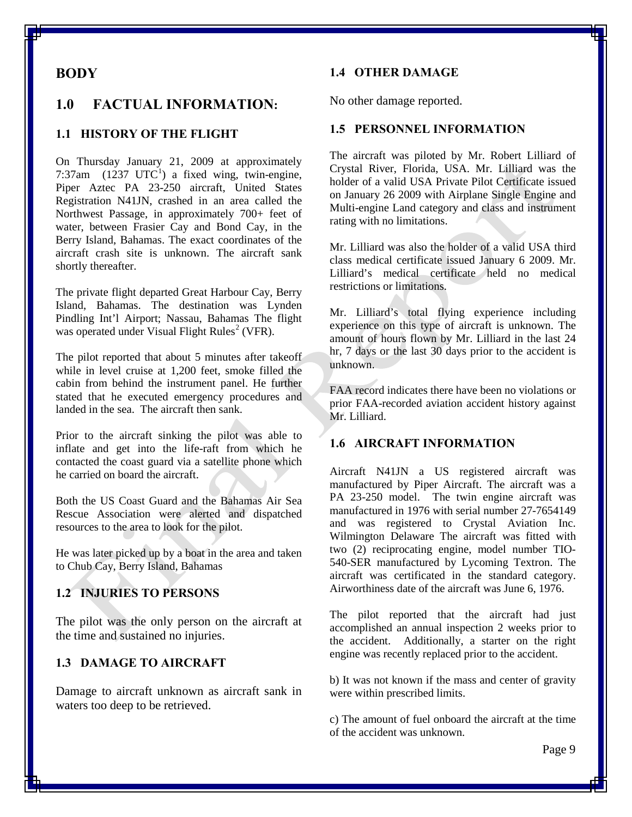### <span id="page-8-0"></span>**BODY**

#### <span id="page-8-1"></span>**1.0 FACTUAL INFORMATION:**

#### <span id="page-8-2"></span>**1.1 HISTORY OF THE FLIGHT**

On Thursday January 21, 2009 at approximately 7:37am  $(1237 \text{ UTC}^1)$  $(1237 \text{ UTC}^1)$  $(1237 \text{ UTC}^1)$  a fixed wing, twin-engine, Piper Aztec PA 23-250 aircraft, United States Registration N41JN, crashed in an area called the Northwest Passage, in approximately 700+ feet of water, between Frasier Cay and Bond Cay, in the Berry Island, Bahamas. The exact coordinates of the aircraft crash site is unknown. The aircraft sank shortly thereafter.

The private flight departed Great Harbour Cay, Berry Island, Bahamas. The destination was Lynden Pindling Int'l Airport; Nassau, Bahamas The flight was operated under Visual Flight Rules<sup>[2](#page-10-10)</sup> (VFR).

The pilot reported that about 5 minutes after takeoff while in level cruise at 1,200 feet, smoke filled the cabin from behind the instrument panel. He further stated that he executed emergency procedures and landed in the sea. The aircraft then sank.

Prior to the aircraft sinking the pilot was able to inflate and get into the life-raft from which he contacted the coast guard via a satellite phone which he carried on board the aircraft.

Both the US Coast Guard and the Bahamas Air Sea Rescue Association were alerted and dispatched resources to the area to look for the pilot.

He was later picked up by a boat in the area and taken to Chub Cay, Berry Island, Bahamas

#### <span id="page-8-3"></span>**1.2 INJURIES TO PERSONS**

The pilot was the only person on the aircraft at the time and sustained no injuries.

#### <span id="page-8-4"></span>**1.3 DAMAGE TO AIRCRAFT**

Damage to aircraft unknown as aircraft sank in waters too deep to be retrieved.

#### <span id="page-8-5"></span>**1.4 OTHER DAMAGE**

No other damage reported.

#### <span id="page-8-6"></span>**1.5 PERSONNEL INFORMATION**

The aircraft was piloted by Mr. Robert Lilliard of Crystal River, Florida, USA. Mr. Lilliard was the holder of a valid USA Private Pilot Certificate issued on January 26 2009 with Airplane Single Engine and Multi-engine Land category and class and instrument rating with no limitations.

Mr. Lilliard was also the holder of a valid USA third class medical certificate issued January 6 2009. Mr. Lilliard's medical certificate held no medical restrictions or limitations.

Mr. Lilliard's total flying experience including experience on this type of aircraft is unknown. The amount of hours flown by Mr. Lilliard in the last 24 hr, 7 days or the last 30 days prior to the accident is unknown.

FAA record indicates there have been no violations or prior FAA-recorded aviation accident history against Mr. Lilliard.

#### <span id="page-8-7"></span>**1.6 AIRCRAFT INFORMATION**

Aircraft N41JN a US registered aircraft was manufactured by Piper Aircraft. The aircraft was a PA 23-250 model. The twin engine aircraft was manufactured in 1976 with serial number 27-7654149 and was registered to Crystal Aviation Inc. Wilmington Delaware The aircraft was fitted with two (2) reciprocating engine, model number TIO-540-SER manufactured by Lycoming Textron. The aircraft was certificated in the standard category. Airworthiness date of the aircraft was June 6, 1976.

The pilot reported that the aircraft had just accomplished an annual inspection 2 weeks prior to the accident. Additionally, a starter on the right engine was recently replaced prior to the accident.

b) It was not known if the mass and center of gravity were within prescribed limits.

c) The amount of fuel onboard the aircraft at the time of the accident was unknown.

Page 9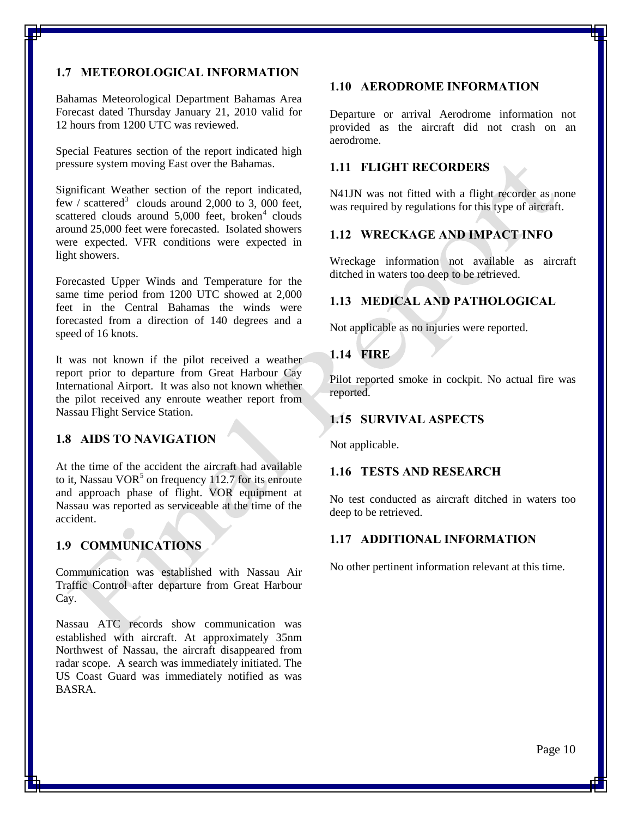#### <span id="page-9-0"></span>**1.7 METEOROLOGICAL INFORMATION**

Bahamas Meteorological Department Bahamas Area Forecast dated Thursday January 21, 2010 valid for 12 hours from 1200 UTC was reviewed.

Special Features section of the report indicated high pressure system moving East over the Bahamas.

Significant Weather section of the report indicated, few / scattered<sup>[3](#page-10-11)</sup> clouds around 2,000 to 3,000 feet, scattered clouds around  $5,000$  feet, broken<sup>[4](#page-10-12)</sup> clouds around 25,000 feet were forecasted. Isolated showers were expected. VFR conditions were expected in light showers.

Forecasted Upper Winds and Temperature for the same time period from 1200 UTC showed at 2,000 feet in the Central Bahamas the winds were forecasted from a direction of 140 degrees and a speed of 16 knots.

It was not known if the pilot received a weather report prior to departure from Great Harbour Cay International Airport. It was also not known whether the pilot received any enroute weather report from Nassau Flight Service Station.

#### <span id="page-9-1"></span>**1.8 AIDS TO NAVIGATION**

At the time of the accident the aircraft had available to it, Nassau  $VOR<sup>5</sup>$  $VOR<sup>5</sup>$  $VOR<sup>5</sup>$  on frequency 112.7 for its enroute and approach phase of flight. VOR equipment at Nassau was reported as serviceable at the time of the accident.

#### <span id="page-9-2"></span>**1.9 COMMUNICATIONS**

Communication was established with Nassau Air Traffic Control after departure from Great Harbour Cay.

Nassau ATC records show communication was established with aircraft. At approximately 35nm Northwest of Nassau, the aircraft disappeared from radar scope. A search was immediately initiated. The US Coast Guard was immediately notified as was BASRA.

#### <span id="page-9-3"></span>**1.10 AERODROME INFORMATION**

Departure or arrival Aerodrome information not provided as the aircraft did not crash on an aerodrome.

#### <span id="page-9-4"></span>**1.11 FLIGHT RECORDERS**

N41JN was not fitted with a flight recorder as none was required by regulations for this type of aircraft.

#### <span id="page-9-5"></span>**1.12 WRECKAGE AND IMPACT INFO**

Wreckage information not available as aircraft ditched in waters too deep to be retrieved.

#### <span id="page-9-6"></span>**1.13 MEDICAL AND PATHOLOGICAL**

Not applicable as no injuries were reported.

#### <span id="page-9-7"></span>**1.14 FIRE**

Pilot reported smoke in cockpit. No actual fire was reported.

#### <span id="page-9-8"></span>**1.15 SURVIVAL ASPECTS**

Not applicable.

#### <span id="page-9-9"></span>**1.16 TESTS AND RESEARCH**

No test conducted as aircraft ditched in waters too deep to be retrieved.

#### <span id="page-9-10"></span>**1.17 ADDITIONAL INFORMATION**

No other pertinent information relevant at this time.